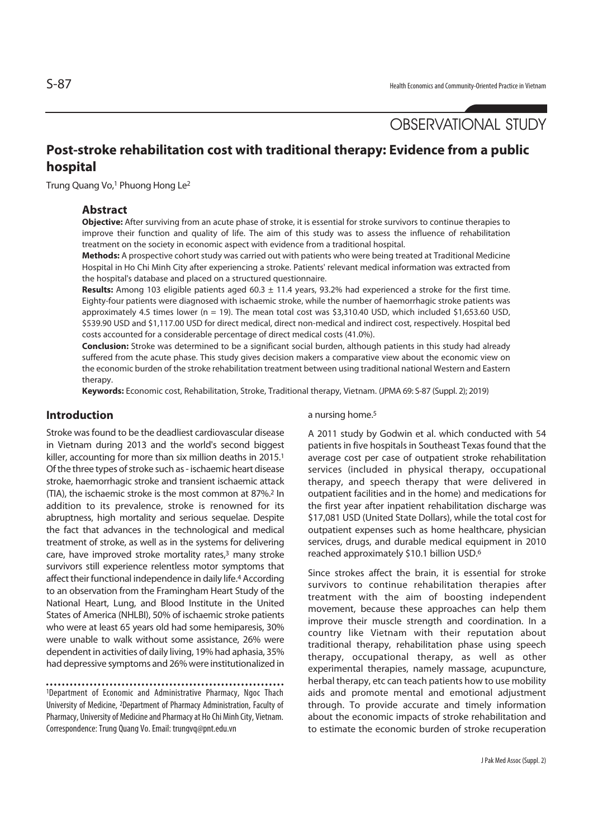# **Post-stroke rehabilitation cost with traditional therapy: Evidence from a public hospital**

Trung Quang Vo,<sup>1</sup> Phuong Hong Le<sup>2</sup>

## **Abstract**

**Objective:** After surviving from an acute phase of stroke, it is essential for stroke survivors to continue therapies to improve their function and quality of life. The aim of this study was to assess the influence of rehabilitation treatment on the society in economic aspect with evidence from a traditional hospital.

**Methods:** A prospective cohort study was carried out with patients who were being treated at Traditional Medicine Hospital in Ho Chi Minh City after experiencing a stroke. Patients' relevant medical information was extracted from the hospital's database and placed on a structured questionnaire.

**Results:** Among 103 eligible patients aged 60.3 ± 11.4 years, 93.2% had experienced a stroke for the first time. Eighty-four patients were diagnosed with ischaemic stroke, while the number of haemorrhagic stroke patients was approximately 4.5 times lower (n = 19). The mean total cost was \$3,310.40 USD, which included \$1,653.60 USD, \$539.90 USD and \$1,117.00 USD for direct medical, direct non-medical and indirect cost, respectively. Hospital bed costs accounted for a considerable percentage of direct medical costs (41.0%).

**Conclusion:** Stroke was determined to be a significant social burden, although patients in this study had already suffered from the acute phase. This study gives decision makers a comparative view about the economic view on the economic burden of the stroke rehabilitation treatment between using traditional national Western and Eastern therapy.

**Keywords:** Economic cost, Rehabilitation, Stroke, Traditional therapy, Vietnam. (JPMA 69: S-87 (Suppl. 2); 2019)

## **Introduction**

Stroke was found to be the deadliest cardiovascular disease in Vietnam during 2013 and the world's second biggest killer, accounting for more than six million deaths in 2015.<sup>1</sup> Of the three types of stroke such as - ischaemic heart disease stroke, haemorrhagic stroke and transient ischaemic attack (TIA), the ischaemic stroke is the most common at 87%.2 In addition to its prevalence, stroke is renowned for its abruptness, high mortality and serious sequelae. Despite the fact that advances in the technological and medical treatment of stroke, as well as in the systems for delivering care, have improved stroke mortality rates,3 many stroke survivors still experience relentless motor symptoms that affect their functional independence in daily life.4 According to an observation from the Framingham Heart Study of the National Heart, Lung, and Blood Institute in the United States of America (NHLBI), 50% of ischaemic stroke patients who were at least 65 years old had some hemiparesis, 30% were unable to walk without some assistance, 26% were dependent in activities of daily living, 19% had aphasia, 35% had depressive symptoms and 26% were institutionalized in

1Department of Economic and Administrative Pharmacy, Ngoc Thach University of Medicine, 2Department of Pharmacy Administration, Faculty of Pharmacy, University of Medicine and Pharmacy at Ho Chi Minh City, Vietnam. Correspondence: Trung Quang Vo. Email: trungvq@pnt.edu.vn

a nursing home.<sup>5</sup>

A 2011 study by Godwin et al. which conducted with 54 patients in five hospitals in Southeast Texas found that the average cost per case of outpatient stroke rehabilitation services (included in physical therapy, occupational therapy, and speech therapy that were delivered in outpatient facilities and in the home) and medications for the first year after inpatient rehabilitation discharge was \$17,081 USD (United State Dollars), while the total cost for outpatient expenses such as home healthcare, physician services, drugs, and durable medical equipment in 2010 reached approximately \$10.1 billion USD.6

Since strokes affect the brain, it is essential for stroke survivors to continue rehabilitation therapies after treatment with the aim of boosting independent movement, because these approaches can help them improve their muscle strength and coordination. In a country like Vietnam with their reputation about traditional therapy, rehabilitation phase using speech therapy, occupational therapy, as well as other experimental therapies, namely massage, acupuncture, herbal therapy, etc can teach patients how to use mobility aids and promote mental and emotional adjustment through. To provide accurate and timely information about the economic impacts of stroke rehabilitation and to estimate the economic burden of stroke recuperation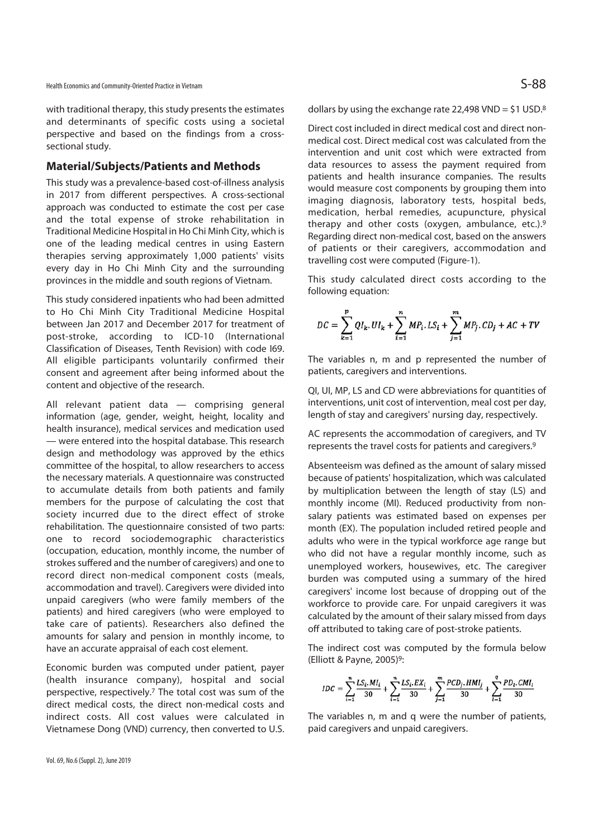with traditional therapy, this study presents the estimates and determinants of specific costs using a societal perspective and based on the findings from a crosssectional study.

### **Material/Subjects/Patients and Methods**

This study was a prevalence-based cost-of-illness analysis in 2017 from different perspectives. A cross-sectional approach was conducted to estimate the cost per case and the total expense of stroke rehabilitation in Traditional Medicine Hospital in Ho Chi Minh City, which is one of the leading medical centres in using Eastern therapies serving approximately 1,000 patients' visits every day in Ho Chi Minh City and the surrounding provinces in the middle and south regions of Vietnam.

This study considered inpatients who had been admitted to Ho Chi Minh City Traditional Medicine Hospital between Jan 2017 and December 2017 for treatment of post-stroke, according to ICD-10 (International Classification of Diseases, Tenth Revision) with code I69. All eligible participants voluntarily confirmed their consent and agreement after being informed about the content and objective of the research.

All relevant patient data — comprising general information (age, gender, weight, height, locality and health insurance), medical services and medication used — were entered into the hospital database. This research design and methodology was approved by the ethics committee of the hospital, to allow researchers to access the necessary materials. A questionnaire was constructed to accumulate details from both patients and family members for the purpose of calculating the cost that society incurred due to the direct effect of stroke rehabilitation. The questionnaire consisted of two parts: one to record sociodemographic characteristics (occupation, education, monthly income, the number of strokes suffered and the number of caregivers) and one to record direct non-medical component costs (meals, accommodation and travel). Caregivers were divided into unpaid caregivers (who were family members of the patients) and hired caregivers (who were employed to take care of patients). Researchers also defined the amounts for salary and pension in monthly income, to have an accurate appraisal of each cost element.

Economic burden was computed under patient, payer (health insurance company), hospital and social perspective, respectively.7 The total cost was sum of the direct medical costs, the direct non-medical costs and indirect costs. All cost values were calculated in Vietnamese Dong (VND) currency, then converted to U.S. dollars by using the exchange rate 22,498 VND =  $$1$  USD.<sup>8</sup>

Direct cost included in direct medical cost and direct nonmedical cost. Direct medical cost was calculated from the intervention and unit cost which were extracted from data resources to assess the payment required from patients and health insurance companies. The results would measure cost components by grouping them into imaging diagnosis, laboratory tests, hospital beds, medication, herbal remedies, acupuncture, physical therapy and other costs (oxygen, ambulance, etc.).9 Regarding direct non-medical cost, based on the answers of patients or their caregivers, accommodation and travelling cost were computed (Figure-1).

This study calculated direct costs according to the following equation:

$$
DC = \sum_{k=1}^{p} QI_k, UI_k + \sum_{i=1}^{n} MP_i, LS_i + \sum_{j=1}^{m} MP_j, CD_j + AC + TV
$$

The variables n, m and p represented the number of patients, caregivers and interventions.

QI, UI, MP, LS and CD were abbreviations for quantities of interventions, unit cost of intervention, meal cost per day, length of stay and caregivers' nursing day, respectively.

AC represents the accommodation of caregivers, and TV represents the travel costs for patients and caregivers.9

Absenteeism was defined as the amount of salary missed because of patients' hospitalization, which was calculated by multiplication between the length of stay (LS) and monthly income (MI). Reduced productivity from nonsalary patients was estimated based on expenses per month (EX). The population included retired people and adults who were in the typical workforce age range but who did not have a regular monthly income, such as unemployed workers, housewives, etc. The caregiver burden was computed using a summary of the hired caregivers' income lost because of dropping out of the workforce to provide care. For unpaid caregivers it was calculated by the amount of their salary missed from days off attributed to taking care of post-stroke patients.

The indirect cost was computed by the formula below (Elliott & Payne, 2005)9:

$$
IDC = \sum_{i=1}^{n} \frac{LS_i \cdot MI_i}{30} + \sum_{i=1}^{n} \frac{LS_i \cdot EX_i}{30} + \sum_{j=1}^{m} \frac{PCD_j \cdot HMI_j}{30} + \sum_{i=1}^{q} \frac{PD_i \cdot CMI_i}{30}
$$

The variables n, m and q were the number of patients, paid caregivers and unpaid caregivers.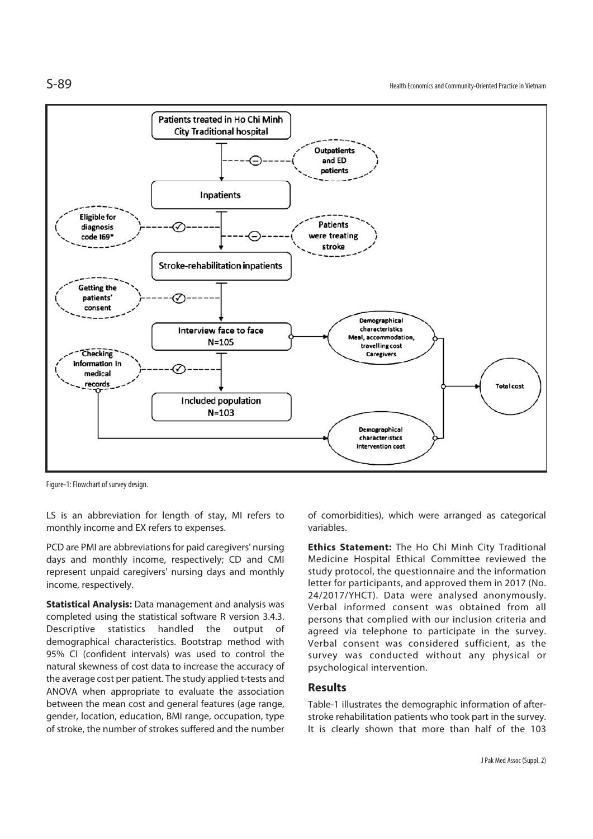

Figure-1: Flowchart of survey design.

LS is an abbreviation for length of stay, MI refers to monthly income and EX refers to expenses.

PCD are PMI are abbreviations for paid caregivers' nursing days and monthly income, respectively; CD and CMI represent unpaid caregivers' nursing days and monthly income, respectively.

**Statistical Analysis:** Data management and analysis was completed using the statistical software R version 3.4.3. Descriptive statistics handled the output of demographical characteristics. Bootstrap method with 95% CI (confident intervals) was used to control the natural skewness of cost data to increase the accuracy of the average cost per patient. The study applied t-tests and ANOVA when appropriate to evaluate the association between the mean cost and general features (age range, gender, location, education, BMI range, occupation, type of stroke, the number of strokes suffered and the number

of comorbidities), which were arranged as categorical variables.

**Ethics Statement:** The Ho Chi Minh City Traditional Medicine Hospital Ethical Committee reviewed the study protocol, the questionnaire and the information letter for participants, and approved them in 2017 (No. 24/2017/YHCT). Data were analysed anonymously. Verbal informed consent was obtained from all persons that complied with our inclusion criteria and agreed via telephone to participate in the survey. Verbal consent was considered sufficient, as the survey was conducted without any physical or psychological intervention.

### **Results**

Table-1 illustrates the demographic information of afterstroke rehabilitation patients who took part in the survey. It is clearly shown that more than half of the 103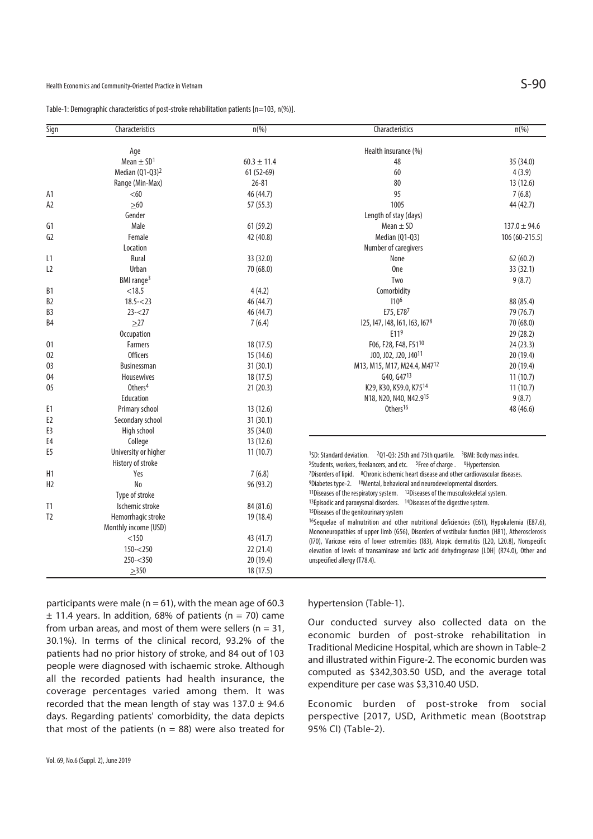|  |  |  | Table-1: Demographic characteristics of post-stroke rehabilitation patients [n=103, n(%)]. |
|--|--|--|--------------------------------------------------------------------------------------------|
|--|--|--|--------------------------------------------------------------------------------------------|

| Sign           | Characteristics            | $n(\%)$         | Characteristics                                                                                                                                                                                                                       | $n(\%)$          |
|----------------|----------------------------|-----------------|---------------------------------------------------------------------------------------------------------------------------------------------------------------------------------------------------------------------------------------|------------------|
|                | Age                        |                 | Health insurance (%)                                                                                                                                                                                                                  |                  |
|                | Mean $\pm$ SD <sup>1</sup> | $60.3 \pm 11.4$ | 48                                                                                                                                                                                                                                    | 35 (34.0)        |
|                | Median $(Q1-Q3)^2$         | $61(52-69)$     | 60                                                                                                                                                                                                                                    | 4(3.9)           |
|                | Range (Min-Max)            | $26 - 81$       | 80                                                                                                                                                                                                                                    | 13(12.6)         |
| A1             | < 60                       | 46 (44.7)       | 95                                                                                                                                                                                                                                    | 7(6.8)           |
| A2             | $>60$                      | 57 (55.3)       | 1005                                                                                                                                                                                                                                  | 44 (42.7)        |
|                | Gender                     |                 |                                                                                                                                                                                                                                       |                  |
|                | Male                       |                 | Length of stay (days)                                                                                                                                                                                                                 |                  |
| G1             |                            | 61(59.2)        | Mean $\pm$ SD                                                                                                                                                                                                                         | $137.0 \pm 94.6$ |
| G2             | Female                     | 42 (40.8)       | Median (Q1-Q3)                                                                                                                                                                                                                        | 106 (60-215.5)   |
|                | Location                   |                 | Number of caregivers                                                                                                                                                                                                                  |                  |
| L1             | Rural                      | 33 (32.0)       | None                                                                                                                                                                                                                                  | 62(60.2)         |
| L <sub>2</sub> | Urban                      | 70 (68.0)       | 0 <sub>ne</sub>                                                                                                                                                                                                                       | 33(32.1)         |
|                | BMI range <sup>3</sup>     |                 | Two                                                                                                                                                                                                                                   | 9(8.7)           |
| B1             | < 18.5                     | 4(4.2)          | Comorbidity                                                                                                                                                                                                                           |                  |
| B <sub>2</sub> | $18.5 - 23$                | 46 (44.7)       | 110 <sup>6</sup>                                                                                                                                                                                                                      | 88 (85.4)        |
| B <sub>3</sub> | $23 - 27$                  | 46 (44.7)       | E75, E787                                                                                                                                                                                                                             | 79 (76.7)        |
| B4             | $\geq$ 27                  | 7(6.4)          | 125, 147, 148, 161, 163, 1678                                                                                                                                                                                                         | 70 (68.0)        |
|                | Occupation                 |                 | E119                                                                                                                                                                                                                                  | 29 (28.2)        |
| 01             | <b>Farmers</b>             | 18(17.5)        | F06, F28, F48, F5110                                                                                                                                                                                                                  | 24(23.3)         |
| 02             | <b>Officers</b>            | 15(14.6)        | J00, J02, J20, J40 <sup>11</sup>                                                                                                                                                                                                      | 20(19.4)         |
| 03             | <b>Businessman</b>         | 31 (30.1)       | M13, M15, M17, M24.4, M47 <sup>12</sup>                                                                                                                                                                                               | 20 (19.4)        |
| 04             | Housewives                 | 18 (17.5)       | G40, G47 <sup>13</sup>                                                                                                                                                                                                                | 11(10.7)         |
| 05             | Others <sup>4</sup>        | 21(20.3)        | K29, K30, K59.0, K7514                                                                                                                                                                                                                | 11(10.7)         |
|                | Education                  |                 | N18, N20, N40, N42.915                                                                                                                                                                                                                | 9(8.7)           |
| E1             | Primary school             | 13 (12.6)       | Others <sup>16</sup>                                                                                                                                                                                                                  | 48 (46.6)        |
| E <sub>2</sub> | Secondary school           | 31(30.1)        |                                                                                                                                                                                                                                       |                  |
| E3             | High school                | 35 (34.0)       |                                                                                                                                                                                                                                       |                  |
| E4             | College                    | 13 (12.6)       |                                                                                                                                                                                                                                       |                  |
| E5             | University or higher       | 11(10.7)        |                                                                                                                                                                                                                                       |                  |
|                | History of stroke          |                 | <sup>1</sup> SD: Standard deviation. <sup>2</sup> Q1-Q3: 25th and 75th quartile. <sup>3</sup> BMI: Body mass index.<br><sup>5</sup> Students, workers, freelancers, and etc. <sup>5</sup> Free of charge . <sup>6</sup> Hypertension. |                  |
| H1             | Yes                        | 7(6.8)          | <sup>7</sup> Disorders of lipid. <sup>8</sup> Chronic ischemic heart disease and other cardiovascular diseases.                                                                                                                       |                  |
| H <sub>2</sub> | No                         | 96 (93.2)       | <sup>9</sup> Diabetes type-2. <sup>10</sup> Mental, behavioral and neurodevelopmental disorders.                                                                                                                                      |                  |
|                | Type of stroke             |                 | <sup>11</sup> Diseases of the respiratory system. $12$ Diseases of the musculoskeletal system.                                                                                                                                        |                  |
| T <sub>1</sub> | Ischemic stroke            | 84 (81.6)       | <sup>13</sup> Episodic and paroxysmal disorders. <sup>14</sup> Diseases of the digestive system.                                                                                                                                      |                  |
| T <sub>2</sub> | Hemorrhagic stroke         | 19 (18.4)       | <sup>15</sup> Diseases of the genitourinary system                                                                                                                                                                                    |                  |
|                |                            |                 | <sup>16</sup> Sequelae of malnutrition and other nutritional deficiencies (E61), Hypokalemia (E87.6),                                                                                                                                 |                  |
|                | Monthly income (USD)       |                 | Mononeuropathies of upper limb (G56), Disorders of vestibular function (H81), Atherosclerosis                                                                                                                                         |                  |
|                | < 150                      | 43 (41.7)       | (I70), Varicose veins of lower extremities (I83), Atopic dermatitis (L20, L20.8), Nonspecific                                                                                                                                         |                  |
|                | $150 - 250$                | 22 (21.4)       | elevation of levels of transaminase and lactic acid dehydrogenase [LDH] (R74.0), Other and                                                                                                                                            |                  |
|                | $250 - 350$                | 20 (19.4)       | unspecified allergy (T78.4).                                                                                                                                                                                                          |                  |
|                | $\geq$ 350                 | 18 (17.5)       |                                                                                                                                                                                                                                       |                  |

participants were male ( $n = 61$ ), with the mean age of 60.3  $±$  11.4 years. In addition, 68% of patients (n = 70) came from urban areas, and most of them were sellers ( $n = 31$ , 30.1%). In terms of the clinical record, 93.2% of the patients had no prior history of stroke, and 84 out of 103 people were diagnosed with ischaemic stroke. Although all the recorded patients had health insurance, the coverage percentages varied among them. It was recorded that the mean length of stay was  $137.0 \pm 94.6$ days. Regarding patients' comorbidity, the data depicts that most of the patients ( $n = 88$ ) were also treated for hypertension (Table-1).

Our conducted survey also collected data on the economic burden of post-stroke rehabilitation in Traditional Medicine Hospital, which are shown in Table-2 and illustrated within Figure-2. The economic burden was computed as \$342,303.50 USD, and the average total expenditure per case was \$3,310.40 USD.

Economic burden of post-stroke from social perspective [2017, USD, Arithmetic mean (Bootstrap 95% CI) (Table-2).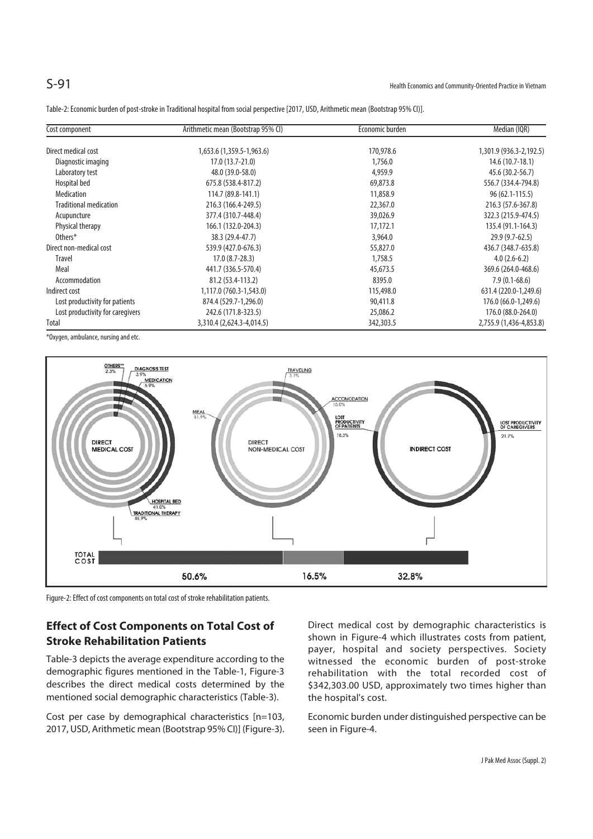Table-2: Economic burden of post-stroke in Traditional hospital from social perspective [2017, USD, Arithmetic mean (Bootstrap 95% CI)].

| Cost component                   | Arithmetic mean (Bootstrap 95% CI) | Economic burden | Median (IQR)            |
|----------------------------------|------------------------------------|-----------------|-------------------------|
| Direct medical cost              | 1,653.6 (1,359.5-1,963.6)          | 170,978.6       | 1,301.9 (936.3-2,192.5) |
| Diagnostic imaging               | $17.0(13.7-21.0)$                  | 1,756.0         | 14.6 (10.7-18.1)        |
| Laboratory test                  | 48.0 (39.0-58.0)                   | 4,959.9         | 45.6 (30.2-56.7)        |
| Hospital bed                     | 675.8 (538.4-817.2)                | 69,873.8        | 556.7 (334.4-794.8)     |
| <b>Medication</b>                | 114.7 (89.8-141.1)                 | 11,858.9        | $96(62.1 - 115.5)$      |
| <b>Traditional medication</b>    | 216.3 (166.4-249.5)                | 22,367.0        | 216.3 (57.6-367.8)      |
| Acupuncture                      | 377.4 (310.7-448.4)                | 39,026.9        | 322.3 (215.9-474.5)     |
| Physical therapy                 | 166.1 (132.0-204.3)                | 17,172.1        | 135.4 (91.1-164.3)      |
| Others*                          | 38.3 (29.4-47.7)                   | 3,964.0         | $29.9(9.7-62.5)$        |
| Direct non-medical cost          | 539.9 (427.0-676.3)                | 55,827.0        | 436.7 (348.7-635.8)     |
| <b>Travel</b>                    | $17.0(8.7-28.3)$                   | 1,758.5         | $4.0(2.6-6.2)$          |
| Meal                             | 441.7 (336.5-570.4)                | 45,673.5        | 369.6 (264.0-468.6)     |
| Accommodation                    | 81.2 (53.4-113.2)                  | 8395.0          | $7.9(0.1-68.6)$         |
| Indirect cost                    | 1,117.0 (760.3-1,543.0)            | 115,498.0       | 631.4 (220.0-1,249.6)   |
| Lost productivity for patients   | 874.4 (529.7-1,296.0)              | 90,411.8        | 176.0 (66.0-1,249.6)    |
| Lost productivity for caregivers | 242.6 (171.8-323.5)                | 25,086.2        | 176.0 (88.0-264.0)      |
| Total                            | 3,310.4 (2,624.3-4,014.5)          | 342,303.5       | 2,755.9 (1,436-4,853.8) |

\*Oxygen, ambulance, nursing and etc.



Figure-2: Effect of cost components on total cost of stroke rehabilitation patients.

# **Effect of Cost Components on Total Cost of Stroke Rehabilitation Patients**

Table-3 depicts the average expenditure according to the demographic figures mentioned in the Table-1, Figure-3 describes the direct medical costs determined by the mentioned social demographic characteristics (Table-3).

Cost per case by demographical characteristics [n=103, 2017, USD, Arithmetic mean (Bootstrap 95% CI)] (Figure-3). Direct medical cost by demographic characteristics is shown in Figure-4 which illustrates costs from patient, payer, hospital and society perspectives. Society witnessed the economic burden of post-stroke rehabilitation with the total recorded cost of \$342,303.00 USD, approximately two times higher than the hospital's cost.

Economic burden under distinguished perspective can be seen in Figure-4.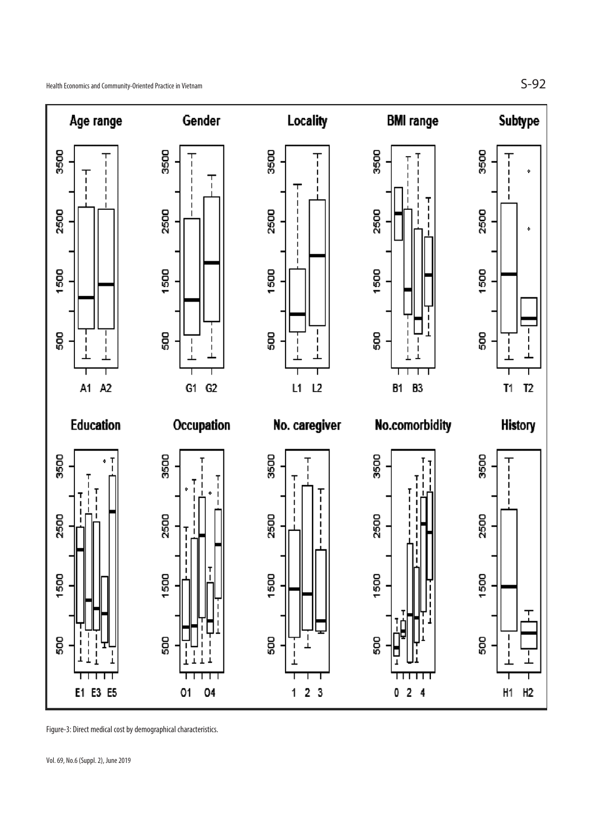

Figure-3: Direct medical cost by demographical characteristics.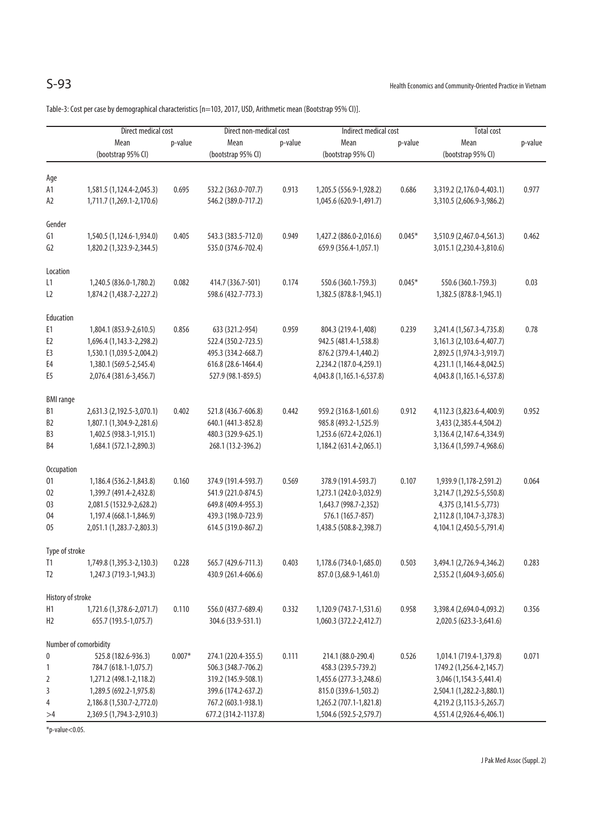Table-3: Cost per case by demographical characteristics [n=103, 2017, USD, Arithmetic mean (Bootstrap 95% CI)].

|                   | Direct medical cost                                 |          | Direct non-medical cost |         | Indirect medical cost     |          | Total cost                     |         |
|-------------------|-----------------------------------------------------|----------|-------------------------|---------|---------------------------|----------|--------------------------------|---------|
|                   | Mean                                                | p-value  | Mean                    | p-value | Mean                      | p-value  | Mean                           | p-value |
|                   | (bootstrap 95% CI)                                  |          | (bootstrap 95% CI)      |         | (bootstrap 95% CI)        |          | (bootstrap 95% CI)             |         |
| Age               |                                                     |          |                         |         |                           |          |                                |         |
| А1                | 1,581.5 (1,124.4-2,045.3)                           | 0.695    | 532.2 (363.0-707.7)     | 0.913   | 1,205.5 (556.9-1,928.2)   | 0.686    | 3,319.2 (2,176.0-4,403.1)      | 0.977   |
| A2                | 1,711.7 (1,269.1-2,170.6)                           |          | 546.2 (389.0-717.2)     |         | 1,045.6 (620.9-1,491.7)   |          | 3,310.5 (2,606.9-3,986.2)      |         |
| Gender            |                                                     |          |                         |         |                           |          |                                |         |
| G1                | 1,540.5 (1,124.6-1,934.0)                           | 0.405    | 543.3 (383.5-712.0)     | 0.949   | 1,427.2 (886.0-2,016.6)   | $0.045*$ | 3,510.9 (2,467.0-4,561.3)      | 0.462   |
| G2                | 1,820.2 (1,323.9-2,344.5)                           |          | 535.0 (374.6-702.4)     |         | 659.9 (356.4-1,057.1)     |          | 3,015.1 (2,230.4-3,810.6)      |         |
|                   |                                                     |          |                         |         |                           |          |                                |         |
| Location          |                                                     |          |                         |         |                           |          |                                |         |
| L1                | 1,240.5 (836.0-1,780.2)                             | 0.082    | 414.7 (336.7-501)       | 0.174   | 550.6 (360.1-759.3)       | $0.045*$ | 550.6 (360.1-759.3)            | 0.03    |
| L2                | 1,874.2 (1,438.7-2,227.2)                           |          | 598.6 (432.7-773.3)     |         | 1,382.5 (878.8-1,945.1)   |          | 1,382.5 (878.8-1,945.1)        |         |
| Education         |                                                     |          |                         |         |                           |          |                                |         |
| E1                | 1,804.1 (853.9-2,610.5)                             | 0.856    | 633 (321.2-954)         | 0.959   | 804.3 (219.4-1,408)       | 0.239    | 3,241.4 (1,567.3-4,735.8)      | 0.78    |
| E <sub>2</sub>    | 1,696.4 (1,143.3-2,298.2)                           |          | 522.4 (350.2-723.5)     |         | 942.5 (481.4-1,538.8)     |          | 3,161.3 (2,103.6-4,407.7)      |         |
| E3                | 1,530.1 (1,039.5-2,004.2)                           |          | 495.3 (334.2-668.7)     |         | 876.2 (379.4-1,440.2)     |          | 2,892.5 (1,974.3-3,919.7)      |         |
| E4                | 1,380.1 (569.5-2,545.4)                             |          | 616.8 (28.6-1464.4)     |         | 2,234.2 (187.0-4,259.1)   |          | 4,231.1 (1,146.4-8,042.5)      |         |
| E5                | 2,076.4 (381.6-3,456.7)                             |          | 527.9 (98.1-859.5)      |         | 4,043.8 (1,165.1-6,537.8) |          | 4,043.8 (1,165.1-6,537.8)      |         |
| <b>BMI</b> range  |                                                     |          |                         |         |                           |          |                                |         |
| B1                | 2,631.3 (2,192.5-3,070.1)                           | 0.402    | 521.8 (436.7-606.8)     | 0.442   | 959.2 (316.8-1,601.6)     | 0.912    | 4,112.3 (3,823.6-4,400.9)      | 0.952   |
| B <sub>2</sub>    | 1,807.1 (1,304.9-2,281.6)                           |          | 640.1 (441.3-852.8)     |         | 985.8 (493.2-1,525.9)     |          | 3,433 (2,385.4-4,504.2)        |         |
| B3                | 1,402.5 (938.3-1,915.1)                             |          | 480.3 (329.9-625.1)     |         | 1,253.6 (672.4-2,026.1)   |          | 3, 136.4 (2, 147.6-4, 334.9)   |         |
| B4                | 1,684.1 (572.1-2,890.3)                             |          | 268.1 (13.2-396.2)      |         | 1,184.2 (631.4-2,065.1)   |          | 3, 136.4 (1, 599.7-4, 968.6)   |         |
|                   |                                                     |          |                         |         |                           |          |                                |         |
| <b>Occupation</b> |                                                     |          |                         |         |                           |          |                                |         |
| 01                | 1,186.4 (536.2-1,843.8)                             | 0.160    | 374.9 (191.4-593.7)     | 0.569   | 378.9 (191.4-593.7)       | 0.107    | 1,939.9 (1,178-2,591.2)        | 0.064   |
| 02                | 1,399.7 (491.4-2,432.8)                             |          | 541.9 (221.0-874.5)     |         | 1,273.1 (242.0-3,032.9)   |          | 3,214.7 (1,292.5-5,550.8)      |         |
| 03                | 2,081.5 (1532.9-2,628.2)<br>1,197.4 (668.1-1,846.9) |          | 649.8 (409.4-955.3)     |         | 1,643.7 (998.7-2,352)     |          | 4,375 (3,141.5-5,773)          |         |
| 04                |                                                     |          | 439.3 (198.0-723.9)     |         | 576.1 (165.7-857)         |          | 2,112.8 (1,104.7-3,378.3)      |         |
| 05                | 2,051.1 (1,283.7-2,803.3)                           |          | 614.5 (319.0-867.2)     |         | 1,438.5 (508.8-2,398.7)   |          | 4, 104.1 (2, 450.5 - 5, 791.4) |         |
| Type of stroke    |                                                     |          |                         |         |                           |          |                                |         |
| T1                | 1,749.8 (1,395.3-2,130.3)                           | 0.228    | 565.7 (429.6-711.3)     | 0.403   | 1,178.6 (734.0-1,685.0)   | 0.503    | 3,494.1 (2,726.9-4,346.2)      | 0.283   |
| T <sub>2</sub>    | 1,247.3 (719.3-1,943.3)                             |          | 430.9 (261.4-606.6)     |         | 857.0 (3,68.9-1,461.0)    |          | 2,535.2 (1,604.9-3,605.6)      |         |
| History of stroke |                                                     |          |                         |         |                           |          |                                |         |
| Н1                | 1,721.6 (1,378.6-2,071.7)                           | 0.110    | 556.0 (437.7-689.4)     | 0.332   | 1,120.9 (743.7-1,531.6)   | 0.958    | 3,398.4 (2,694.0-4,093.2)      | 0.356   |
| H <sub>2</sub>    | 655.7 (193.5-1,075.7)                               |          | 304.6 (33.9-531.1)      |         | 1,060.3 (372.2-2,412.7)   |          | 2,020.5 (623.3-3,641.6)        |         |
|                   | Number of comorbidity                               |          |                         |         |                           |          |                                |         |
| 0                 | 525.8 (182.6-936.3)                                 | $0.007*$ | 274.1 (220.4-355.5)     | 0.111   | 214.1 (88.0-290.4)        | 0.526    | 1,014.1 (719.4-1,379.8)        | 0.071   |
| 1                 | 784.7 (618.1-1,075.7)                               |          | 506.3 (348.7-706.2)     |         | 458.3 (239.5-739.2)       |          | 1749.2 (1,256.4-2,145.7)       |         |
| 2                 | 1,271.2 (498.1-2,118.2)                             |          | 319.2 (145.9-508.1)     |         | 1,455.6 (277.3-3,248.6)   |          | 3,046 (1,154.3-5,441.4)        |         |
| 3                 | 1,289.5 (692.2-1,975.8)                             |          | 399.6 (174.2-637.2)     |         | 815.0 (339.6-1,503.2)     |          | 2,504.1 (1,282.2-3,880.1)      |         |
| 4                 | 2,186.8 (1,530.7-2,772.0)                           |          | 767.2 (603.1-938.1)     |         | 1,265.2 (707.1-1,821.8)   |          | 4,219.2 (3,115.3-5,265.7)      |         |
| >4                | 2,369.5 (1,794.3-2,910.3)                           |          | 677.2 (314.2-1137.8)    |         | 1,504.6 (592.5-2,579.7)   |          | 4,551.4 (2,926.4-6,406.1)      |         |

 $*p$ -value $<$ 0.05.

J Pak Med Assoc (Suppl. 2)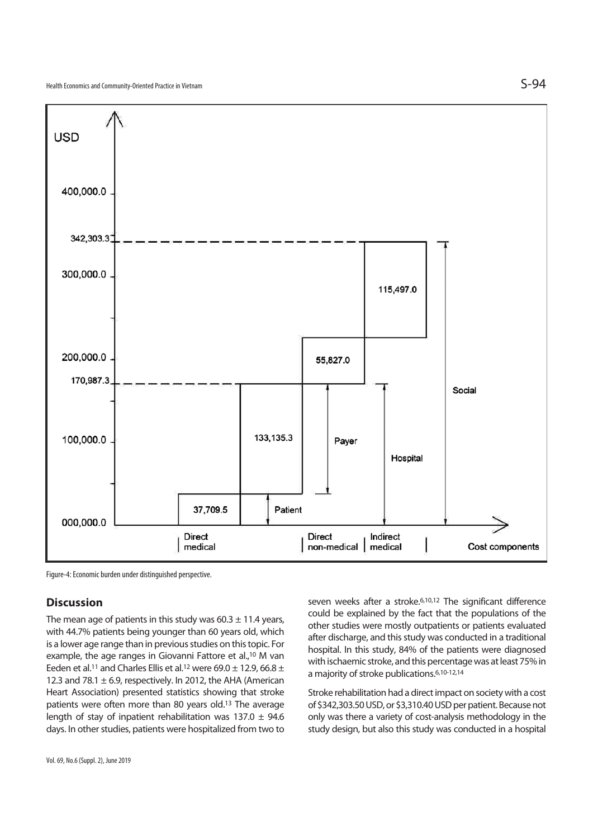

Figure-4: Economic burden under distinguished perspective.

## **Discussion**

The mean age of patients in this study was  $60.3 \pm 11.4$  years, with 44.7% patients being younger than 60 years old, which is a lower age range than in previous studies on this topic. For example, the age ranges in Giovanni Fattore et al.,10 M van Eeden et al.<sup>11</sup> and Charles Ellis et al.<sup>12</sup> were 69.0  $\pm$  12.9, 66.8  $\pm$ 12.3 and 78.1  $\pm$  6.9, respectively. In 2012, the AHA (American Heart Association) presented statistics showing that stroke patients were often more than 80 years old.13 The average length of stay of inpatient rehabilitation was  $137.0 \pm 94.6$ days. In other studies, patients were hospitalized from two to seven weeks after a stroke.<sup>6,10,12</sup> The significant difference could be explained by the fact that the populations of the other studies were mostly outpatients or patients evaluated after discharge, and this study was conducted in a traditional hospital. In this study, 84% of the patients were diagnosed with ischaemic stroke, and this percentage was at least 75% in a majority of stroke publications.6,10-12,14

Stroke rehabilitation had a direct impact on society with a cost of \$342,303.50 USD, or \$3,310.40 USD per patient. Because not only was there a variety of cost-analysis methodology in the study design, but also this study was conducted in a hospital